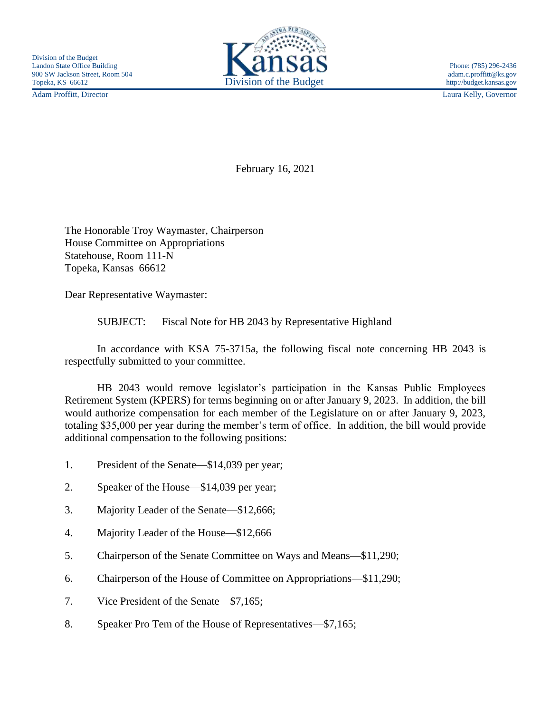Adam Proffitt, Director Laura Kelly, Governor



February 16, 2021

The Honorable Troy Waymaster, Chairperson House Committee on Appropriations Statehouse, Room 111-N Topeka, Kansas 66612

Dear Representative Waymaster:

SUBJECT: Fiscal Note for HB 2043 by Representative Highland

In accordance with KSA 75-3715a, the following fiscal note concerning HB 2043 is respectfully submitted to your committee.

HB 2043 would remove legislator's participation in the Kansas Public Employees Retirement System (KPERS) for terms beginning on or after January 9, 2023. In addition, the bill would authorize compensation for each member of the Legislature on or after January 9, 2023, totaling \$35,000 per year during the member's term of office. In addition, the bill would provide additional compensation to the following positions:

- 1. President of the Senate—\$14,039 per year;
- 2. Speaker of the House—\$14,039 per year;
- 3. Majority Leader of the Senate—\$12,666;
- 4. Majority Leader of the House—\$12,666
- 5. Chairperson of the Senate Committee on Ways and Means—\$11,290;
- 6. Chairperson of the House of Committee on Appropriations—\$11,290;
- 7. Vice President of the Senate—\$7,165;
- 8. Speaker Pro Tem of the House of Representatives—\$7,165;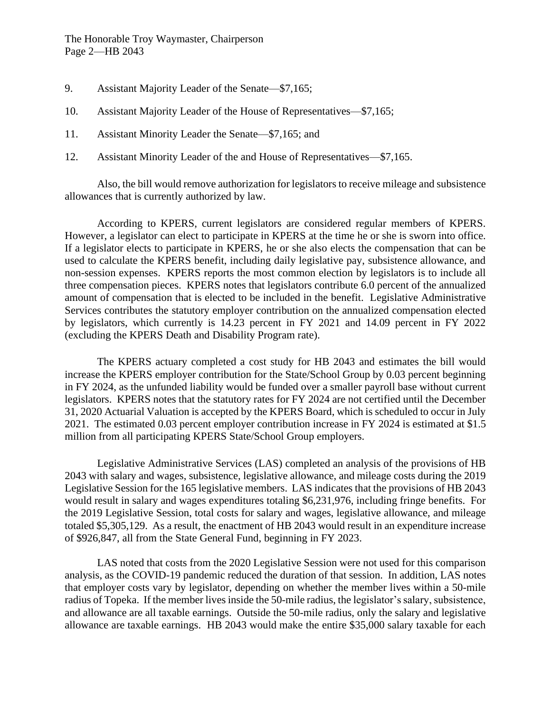- 9. Assistant Majority Leader of the Senate—\$7,165;
- 10. Assistant Majority Leader of the House of Representatives—\$7,165;
- 11. Assistant Minority Leader the Senate—\$7,165; and
- 12. Assistant Minority Leader of the and House of Representatives—\$7,165.

Also, the bill would remove authorization for legislators to receive mileage and subsistence allowances that is currently authorized by law.

According to KPERS, current legislators are considered regular members of KPERS. However, a legislator can elect to participate in KPERS at the time he or she is sworn into office. If a legislator elects to participate in KPERS, he or she also elects the compensation that can be used to calculate the KPERS benefit, including daily legislative pay, subsistence allowance, and non-session expenses. KPERS reports the most common election by legislators is to include all three compensation pieces. KPERS notes that legislators contribute 6.0 percent of the annualized amount of compensation that is elected to be included in the benefit. Legislative Administrative Services contributes the statutory employer contribution on the annualized compensation elected by legislators, which currently is 14.23 percent in FY 2021 and 14.09 percent in FY 2022 (excluding the KPERS Death and Disability Program rate).

The KPERS actuary completed a cost study for HB 2043 and estimates the bill would increase the KPERS employer contribution for the State/School Group by 0.03 percent beginning in FY 2024, as the unfunded liability would be funded over a smaller payroll base without current legislators. KPERS notes that the statutory rates for FY 2024 are not certified until the December 31, 2020 Actuarial Valuation is accepted by the KPERS Board, which is scheduled to occur in July 2021. The estimated 0.03 percent employer contribution increase in FY 2024 is estimated at \$1.5 million from all participating KPERS State/School Group employers.

Legislative Administrative Services (LAS) completed an analysis of the provisions of HB 2043 with salary and wages, subsistence, legislative allowance, and mileage costs during the 2019 Legislative Session for the 165 legislative members. LAS indicates that the provisions of HB 2043 would result in salary and wages expenditures totaling \$6,231,976, including fringe benefits. For the 2019 Legislative Session, total costs for salary and wages, legislative allowance, and mileage totaled \$5,305,129. As a result, the enactment of HB 2043 would result in an expenditure increase of \$926,847, all from the State General Fund, beginning in FY 2023.

LAS noted that costs from the 2020 Legislative Session were not used for this comparison analysis, as the COVID-19 pandemic reduced the duration of that session. In addition, LAS notes that employer costs vary by legislator, depending on whether the member lives within a 50-mile radius of Topeka. If the member lives inside the 50-mile radius, the legislator's salary, subsistence, and allowance are all taxable earnings. Outside the 50-mile radius, only the salary and legislative allowance are taxable earnings. HB 2043 would make the entire \$35,000 salary taxable for each